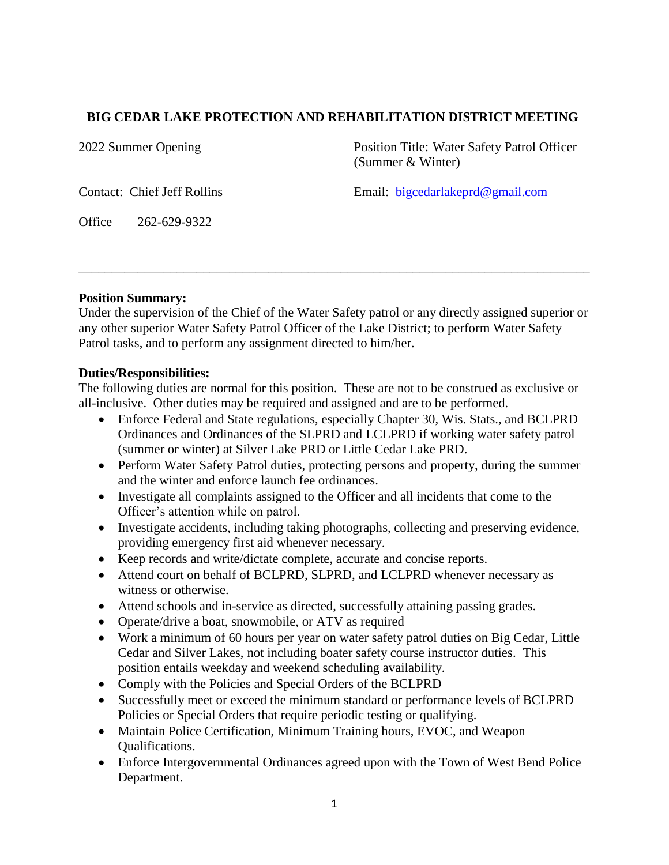# **BIG CEDAR LAKE PROTECTION AND REHABILITATION DISTRICT MEETING**

2022 Summer Opening Position Title: Water Safety Patrol Officer (Summer & Winter)

Contact: Chief Jeff Rollins Email: [bigcedarlakeprd@gmail.com](about:blank)

Office 262-629-9322

### **Position Summary:**

Under the supervision of the Chief of the Water Safety patrol or any directly assigned superior or any other superior Water Safety Patrol Officer of the Lake District; to perform Water Safety Patrol tasks, and to perform any assignment directed to him/her.

\_\_\_\_\_\_\_\_\_\_\_\_\_\_\_\_\_\_\_\_\_\_\_\_\_\_\_\_\_\_\_\_\_\_\_\_\_\_\_\_\_\_\_\_\_\_\_\_\_\_\_\_\_\_\_\_\_\_\_\_\_\_\_\_\_\_\_\_\_\_\_\_\_\_\_\_\_\_

### **Duties/Responsibilities:**

The following duties are normal for this position. These are not to be construed as exclusive or all-inclusive. Other duties may be required and assigned and are to be performed.

- Enforce Federal and State regulations, especially Chapter 30, Wis. Stats., and BCLPRD Ordinances and Ordinances of the SLPRD and LCLPRD if working water safety patrol (summer or winter) at Silver Lake PRD or Little Cedar Lake PRD.
- Perform Water Safety Patrol duties, protecting persons and property, during the summer and the winter and enforce launch fee ordinances.
- Investigate all complaints assigned to the Officer and all incidents that come to the Officer's attention while on patrol.
- Investigate accidents, including taking photographs, collecting and preserving evidence, providing emergency first aid whenever necessary.
- Keep records and write/dictate complete, accurate and concise reports.
- Attend court on behalf of BCLPRD, SLPRD, and LCLPRD whenever necessary as witness or otherwise.
- Attend schools and in-service as directed, successfully attaining passing grades.
- Operate/drive a boat, snowmobile, or ATV as required
- Work a minimum of 60 hours per year on water safety patrol duties on Big Cedar, Little Cedar and Silver Lakes, not including boater safety course instructor duties. This position entails weekday and weekend scheduling availability.
- Comply with the Policies and Special Orders of the BCLPRD
- Successfully meet or exceed the minimum standard or performance levels of BCLPRD Policies or Special Orders that require periodic testing or qualifying.
- Maintain Police Certification, Minimum Training hours, EVOC, and Weapon Qualifications.
- Enforce Intergovernmental Ordinances agreed upon with the Town of West Bend Police Department.